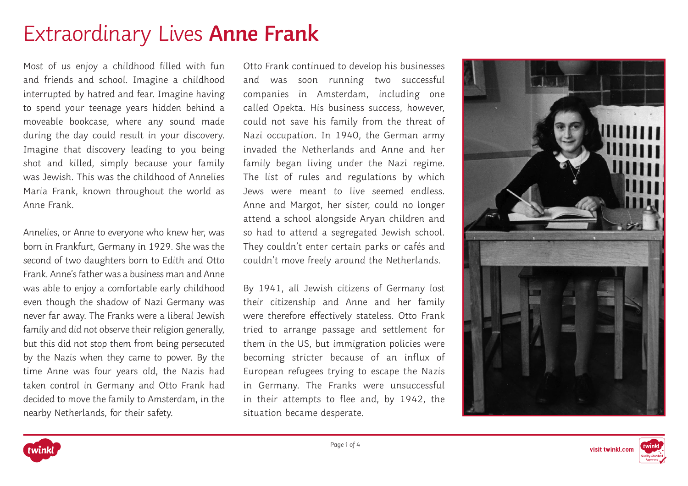# Extraordinary Lives **Anne Frank**

Most of us enjoy a childhood filled with fun and friends and school. Imagine a childhood interrupted by hatred and fear. Imagine having to spend your teenage years hidden behind a moveable bookcase, where any sound made during the day could result in your discovery. Imagine that discovery leading to you being shot and killed, simply because your family was Jewish. This was the childhood of Annelies Maria Frank, known throughout the world as Anne Frank.

Annelies, or Anne to everyone who knew her, was born in Frankfurt, Germany in 1929. She was the second of two daughters born to Edith and Otto Frank. Anne's father was a business man and Anne was able to enjoy a comfortable early childhood even though the shadow of Nazi Germany was never far away. The Franks were a liberal Jewish family and did not observe their religion generally, but this did not stop them from being persecuted by the Nazis when they came to power. By the time Anne was four years old, the Nazis had taken control in Germany and Otto Frank had decided to move the family to Amsterdam, in the nearby Netherlands, for their safety.

Otto Frank continued to develop his businesses and was soon running two successful companies in Amsterdam, including one called Opekta. His business success, however, could not save his family from the threat of Nazi occupation. In 1940, the German army invaded the Netherlands and Anne and her family began living under the Nazi regime. The list of rules and regulations by which Jews were meant to live seemed endless. Anne and Margot, her sister, could no longer attend a school alongside Aryan children and so had to attend a segregated Jewish school. They couldn't enter certain parks or cafés and couldn't move freely around the Netherlands.

By 1941, all Jewish citizens of Germany lost their citizenship and Anne and her family were therefore effectively stateless. Otto Frank tried to arrange passage and settlement for them in the US, but immigration policies were becoming stricter because of an influx of European refugees trying to escape the Nazis in Germany. The Franks were unsuccessful in their attempts to flee and, by 1942, the situation became desperate.





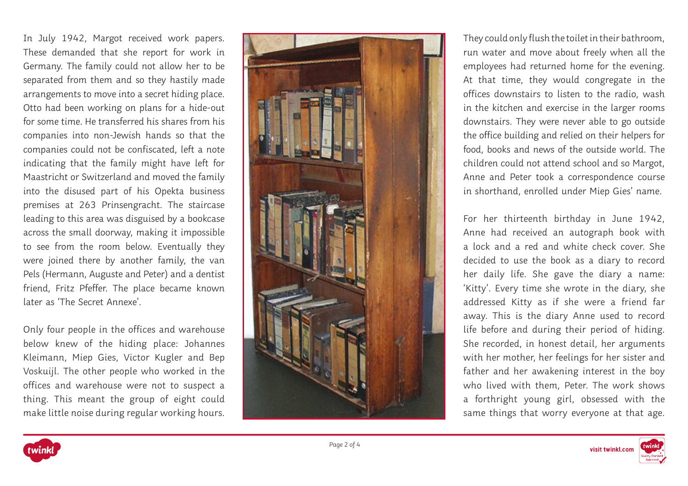In July 1942, Margot received work papers. These demanded that she report for work in Germany. The family could not allow her to be separated from them and so they hastily made arrangements to move into a secret hiding place. Otto had been working on plans for a hide-out for some time. He transferred his shares from his companies into non-Jewish hands so that the companies could not be confiscated, left a note indicating that the family might have left for Maastricht or Switzerland and moved the family into the disused part of his Opekta business premises at 263 Prinsengracht. The staircase leading to this area was disguised by a bookcase across the small doorway, making it impossible to see from the room below. Eventually they were joined there by another family, the van Pels (Hermann, Auguste and Peter) and a dentist friend, Fritz Pfeffer. The place became known later as 'The Secret Annexe'.

Only four people in the offices and warehouse below knew of the hiding place: Johannes Kleimann, Miep Gies, Victor Kugler and Bep Voskuijl. The other people who worked in the offices and warehouse were not to suspect a thing. This meant the group of eight could make little noise during regular working hours.



They could only flush the toilet in their bathroom, run water and move about freely when all the employees had returned home for the evening. At that time, they would congregate in the offices downstairs to listen to the radio, wash in the kitchen and exercise in the larger rooms downstairs. They were never able to go outside the office building and relied on their helpers for food, books and news of the outside world. The children could not attend school and so Margot, Anne and Peter took a correspondence course in shorthand, enrolled under Miep Gies' name.

For her thirteenth birthday in June 1942, Anne had received an autograph book with a lock and a red and white check cover. She decided to use the book as a diary to record her daily life. She gave the diary a name: 'Kitty'. Every time she wrote in the diary, she addressed Kitty as if she were a friend far away. This is the diary Anne used to record life before and during their period of hiding. She recorded, in honest detail, her arguments with her mother, her feelings for her sister and father and her awakening interest in the boy who lived with them, Peter. The work shows a forthright young girl, obsessed with the same things that worry everyone at that age.

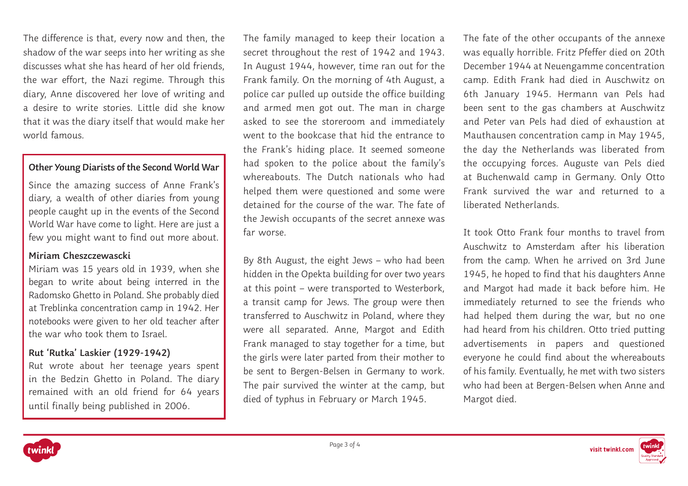The difference is that, every now and then, the shadow of the war seeps into her writing as she discusses what she has heard of her old friends, the war effort, the Nazi regime. Through this diary, Anne discovered her love of writing and a desire to write stories. Little did she know that it was the diary itself that would make her world famous.

## **Other Young Diarists of the Second World War**

Since the amazing success of Anne Frank's diary, a wealth of other diaries from young people caught up in the events of the Second World War have come to light. Here are just a few you might want to find out more about.

#### **Miriam Cheszczewascki**

Miriam was 15 years old in 1939, when she began to write about being interred in the Radomsko Ghetto in Poland. She probably died at Treblinka concentration camp in 1942. Her notebooks were given to her old teacher after the war who took them to Israel.

## **Rut 'Rutka' Laskier (1929-1942)**

Rut wrote about her teenage years spent in the Bedzin Ghetto in Poland. The diary remained with an old friend for 64 years until finally being published in 2006.

The family managed to keep their location a secret throughout the rest of 1942 and 1943. In August 1944, however, time ran out for the Frank family. On the morning of 4th August, a police car pulled up outside the office building and armed men got out. The man in charge asked to see the storeroom and immediately went to the bookcase that hid the entrance to the Frank's hiding place. It seemed someone had spoken to the police about the family's whereabouts. The Dutch nationals who had helped them were questioned and some were detained for the course of the war. The fate of the Jewish occupants of the secret annexe was far worse.

By 8th August, the eight Jews – who had been hidden in the Opekta building for over two years at this point – were transported to Westerbork, a transit camp for Jews. The group were then transferred to Auschwitz in Poland, where they were all separated. Anne, Margot and Edith Frank managed to stay together for a time, but the girls were later parted from their mother to be sent to Bergen-Belsen in Germany to work. The pair survived the winter at the camp, but died of typhus in February or March 1945.

The fate of the other occupants of the annexe was equally horrible. Fritz Pfeffer died on 20th December 1944 at Neuengamme concentration camp. Edith Frank had died in Auschwitz on 6th January 1945. Hermann van Pels had been sent to the gas chambers at Auschwitz and Peter van Pels had died of exhaustion at Mauthausen concentration camp in May 1945, the day the Netherlands was liberated from the occupying forces. Auguste van Pels died at Buchenwald camp in Germany. Only Otto Frank survived the war and returned to a liberated Netherlands.

It took Otto Frank four months to travel from Auschwitz to Amsterdam after his liberation from the camp. When he arrived on 3rd June 1945, he hoped to find that his daughters Anne and Margot had made it back before him. He immediately returned to see the friends who had helped them during the war, but no one had heard from his children. Otto tried putting advertisements in papers and questioned everyone he could find about the whereabouts of his family. Eventually, he met with two sisters who had been at Bergen-Belsen when Anne and Margot died.